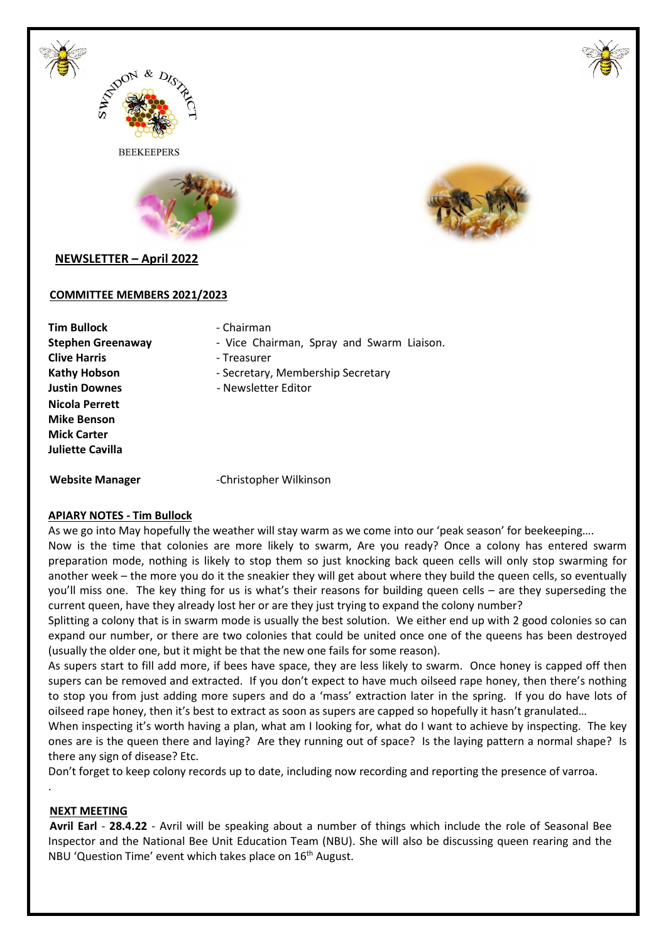



**BEEKEEPERS** 





# **NEWSLETTER – April 2022**

#### **COMMITTEE MEMBERS 2021/2023**

**Tim Bullock** - Chairman **Clive Harris Clive Harris Clive Harris Figure 1 Nicola Perrett Mike Benson Mick Carter Juliette Cavilla** 

- **Stephen Greenaway** Vice Chairman, Spray and Swarm Liaison.
	-
- Kathy Hobson **Figure 3** Secretary, Membership Secretary
- **Justin Downes** Newsletter Editor

Website Manager **Christopher Wilkinson** 

### **APIARY NOTES - Tim Bullock**

As we go into May hopefully the weather will stay warm as we come into our 'peak season' for beekeeping….

Now is the time that colonies are more likely to swarm, Are you ready? Once a colony has entered swarm preparation mode, nothing is likely to stop them so just knocking back queen cells will only stop swarming for another week – the more you do it the sneakier they will get about where they build the queen cells, so eventually you'll miss one. The key thing for us is what's their reasons for building queen cells – are they superseding the current queen, have they already lost her or are they just trying to expand the colony number?

Splitting a colony that is in swarm mode is usually the best solution. We either end up with 2 good colonies so can expand our number, or there are two colonies that could be united once one of the queens has been destroyed (usually the older one, but it might be that the new one fails for some reason).

As supers start to fill add more, if bees have space, they are less likely to swarm. Once honey is capped off then supers can be removed and extracted. If you don't expect to have much oilseed rape honey, then there's nothing to stop you from just adding more supers and do a 'mass' extraction later in the spring. If you do have lots of oilseed rape honey, then it's best to extract as soon as supers are capped so hopefully it hasn't granulated…

When inspecting it's worth having a plan, what am I looking for, what do I want to achieve by inspecting. The key ones are is the queen there and laying? Are they running out of space? Is the laying pattern a normal shape? Is there any sign of disease? Etc.

Don't forget to keep colony records up to date, including now recording and reporting the presence of varroa.

#### **NEXT MEETING**

.

**Avril Earl** - **28.4.22** - Avril will be speaking about a number of things which include the role of Seasonal Bee Inspector and the National Bee Unit Education Team (NBU). She will also be discussing queen rearing and the NBU 'Question Time' event which takes place on 16<sup>th</sup> August.